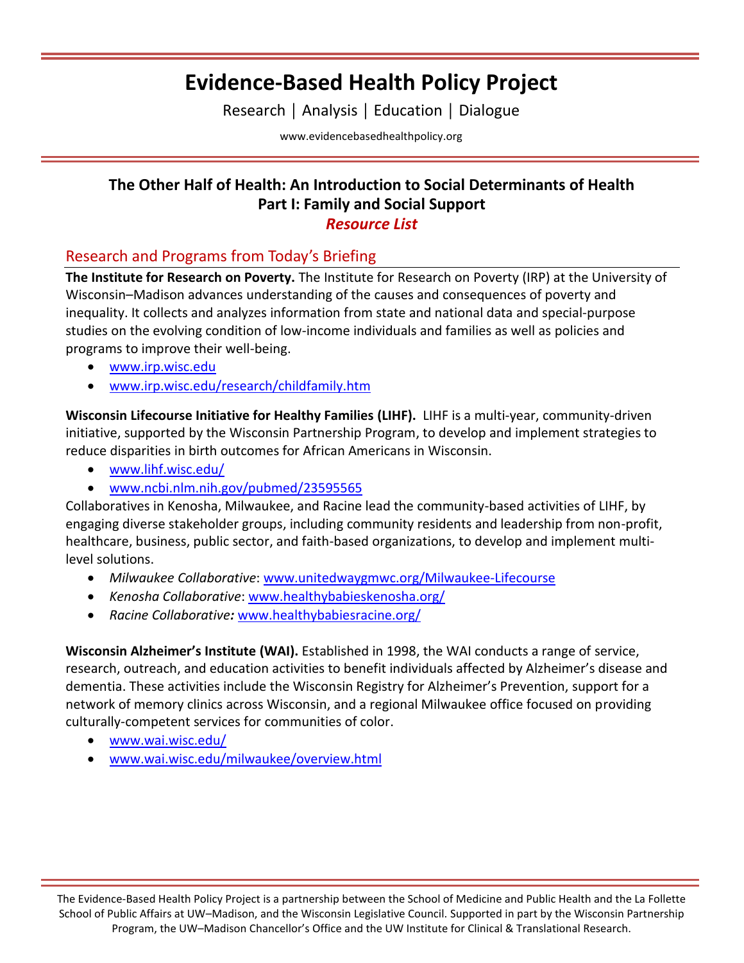# **Evidence-Based Health Policy Project**

Research │ Analysis │ Education │ Dialogue

[www.evidencebasedhealthpolicy.org](file:///C:/Users/randrae/Downloads/www.evidencebasedhealthpolicy.org)

### **The Other Half of Health: An Introduction to Social Determinants of Health Part I: Family and Social Support**

#### *Resource List*

### Research and Programs from Today's Briefing

**The Institute for Research on Poverty.** The Institute for Research on Poverty (IRP) at the University of Wisconsin–Madison advances understanding of the causes and consequences of poverty and inequality. It collects and analyzes information from state and national data and special-purpose studies on the evolving condition of low-income individuals and families as well as policies and programs to improve their well-being.

- [www.irp.wisc.edu](http://www.irp.wisc.edu/)
- [www.irp.wisc.edu/research/childfamily.htm](https://www.irp.wisc.edu/research/childfamily.htm)

**Wisconsin Lifecourse Initiative for Healthy Families (LIHF).** LIHF is a multi-year, community-driven initiative, supported by the Wisconsin Partnership Program, to develop and implement strategies to reduce disparities in birth outcomes for African Americans in Wisconsin.

- [www.lihf.wisc.edu/](http://www.lihf.wisc.edu/)
- [www.ncbi.nlm.nih.gov/pubmed/23595565](https://www.ncbi.nlm.nih.gov/pubmed/23595565)

Collaboratives in Kenosha, Milwaukee, and Racine lead the community-based activities of LIHF, by engaging diverse stakeholder groups, including community residents and leadership from non-profit, healthcare, business, public sector, and faith-based organizations, to develop and implement multilevel solutions.

- *Milwaukee Collaborative*: [www.unitedwaygmwc.org/Milwaukee-Lifecourse](https://www.unitedwaygmwc.org/Milwaukee-Lifecourse)
- *Kenosha Collaborative*: [www.healthybabieskenosha.org/](http://www.healthybabieskenosha.org/)
- *Racine Collaborative:* [www.healthybabiesracine.org/](http://www.healthybabiesracine.org/)

**Wisconsin Alzheimer's Institute (WAI).** Established in 1998, the WAI conducts a range of service, research, outreach, and education activities to benefit individuals affected by Alzheimer's disease and dementia. These activities include the Wisconsin Registry for Alzheimer's Prevention, support for a network of memory clinics across Wisconsin, and a regional Milwaukee office focused on providing culturally-competent services for communities of color.

- [www.wai.wisc.edu/](http://www.wai.wisc.edu/)
- www.wai.wisc.edu/milwaukee/overview.html

The Evidence-Based Health Policy Project is a partnership between the School of Medicine and Public Health and the La Follette School of Public Affairs at UW–Madison, and the Wisconsin Legislative Council. Supported in part by the Wisconsin Partnership Program, the UW–Madison Chancellor's Office and the UW Institute for Clinical & Translational Research.